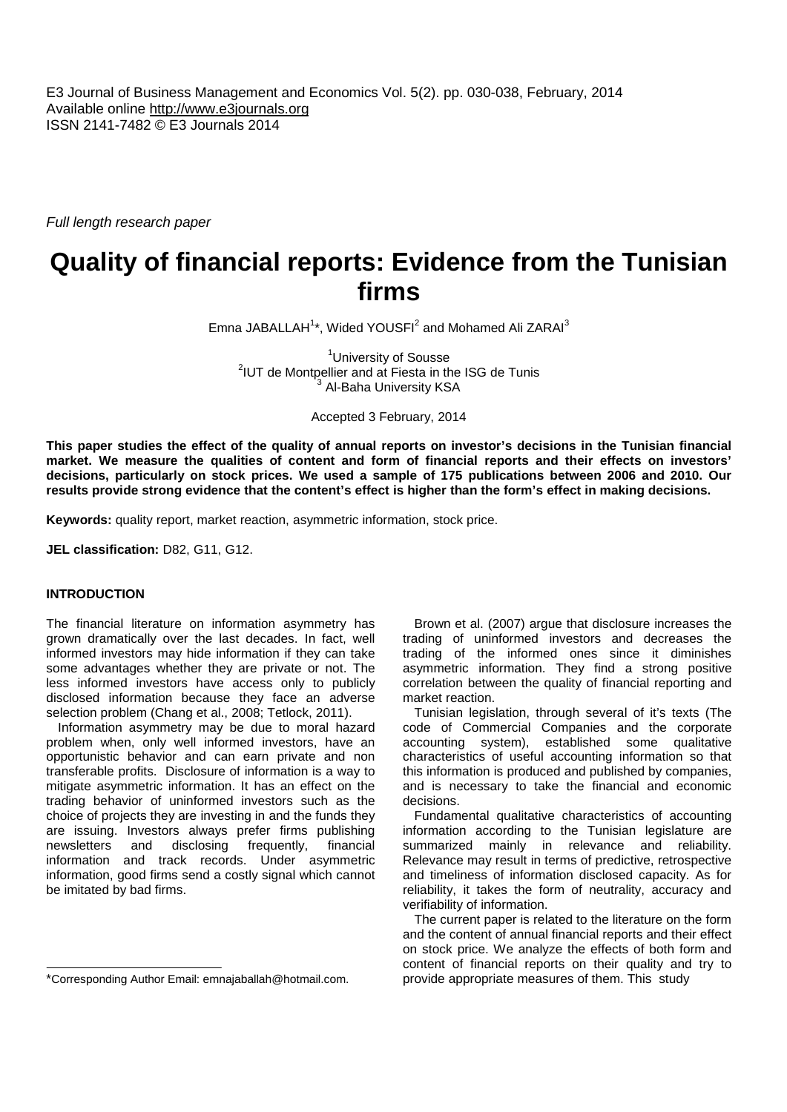E3 Journal of Business Management and Economics Vol. 5(2). pp. 030-038, February, 2014 Available online http://www.e3journals.org ISSN 2141-7482 © E3 Journals 2014

*Full length research paper*

# **Quality of financial reports: Evidence from the Tunisian firms**

Emna JABALLAH<sup>1\*</sup>, Wided YOUSFI<sup>2</sup> and Mohamed Ali ZARAI<sup>3</sup>

<sup>1</sup>University of Sousse <sup>2</sup>IUT de Montpellier and at Fiesta in the ISG de Tunis Al-Baha University KSA

Accepted 3 February, 2014

**This paper studies the effect of the quality of annual reports on investor's decisions in the Tunisian financial market. We measure the qualities of content and form of financial reports and their effects on investors' decisions, particularly on stock prices. We used a sample of 175 publications between 2006 and 2010. Our results provide strong evidence that the content's effect is higher than the form's effect in making decisions.**

**Keywords:** quality report, market reaction, asymmetric information, stock price.

**JEL classification:** D82, G11, G12.

# **INTRODUCTION**

The financial literature on information asymmetry has grown dramatically over the last decades. In fact, well informed investors may hide information if they can take some advantages whether they are private or not. The less informed investors have access only to publicly disclosed information because they face an adverse selection problem (Chang et al., 2008; Tetlock, 2011).

Information asymmetry may be due to moral hazard problem when, only well informed investors, have an opportunistic behavior and can earn private and non transferable profits. Disclosure of information is a way to mitigate asymmetric information. It has an effect on the trading behavior of uninformed investors such as the choice of projects they are investing in and the funds they are issuing. Investors always prefer firms publishing newsletters and disclosing frequently, financial information and track records. Under asymmetric information, good firms send a costly signal which cannot be imitated by bad firms.

Brown et al. (2007) argue that disclosure increases the trading of uninformed investors and decreases the trading of the informed ones since it diminishes asymmetric information. They find a strong positive correlation between the quality of financial reporting and market reaction.

Tunisian legislation, through several of it's texts (The code of Commercial Companies and the corporate accounting system), established some qualitative characteristics of useful accounting information so that this information is produced and published by companies, and is necessary to take the financial and economic decisions.

Fundamental qualitative characteristics of accounting information according to the Tunisian legislature are summarized mainly in relevance and reliability. Relevance may result in terms of predictive, retrospective and timeliness of information disclosed capacity. As for reliability, it takes the form of neutrality, accuracy and verifiability of information.

The current paper is related to the literature on the form and the content of annual financial reports and their effect on stock price. We analyze the effects of both form and content of financial reports on their quality and try to provide appropriate measures of them. This study

<sup>\*</sup>Corresponding Author Email: emnajaballah@hotmail.com.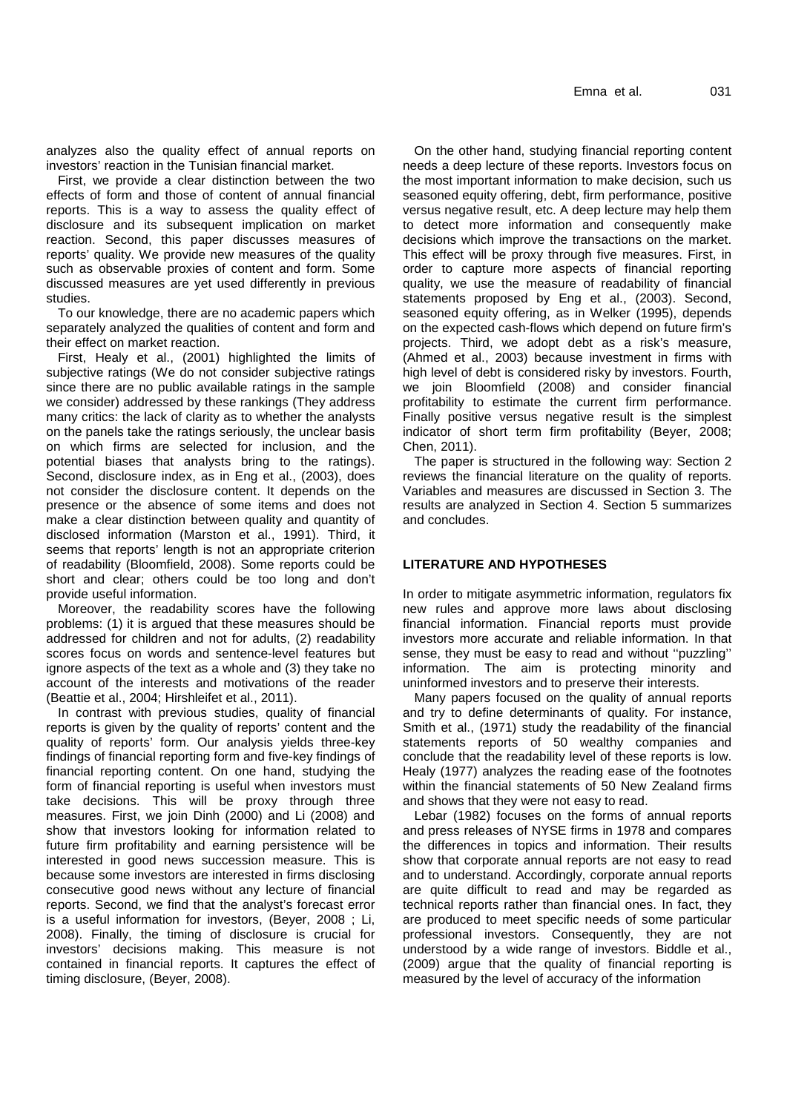analyzes also the quality effect of annual reports on investors' reaction in the Tunisian financial market.

First, we provide a clear distinction between the two effects of form and those of content of annual financial reports. This is a way to assess the quality effect of disclosure and its subsequent implication on market reaction. Second, this paper discusses measures of reports' quality. We provide new measures of the quality such as observable proxies of content and form. Some discussed measures are yet used differently in previous studies.

To our knowledge, there are no academic papers which separately analyzed the qualities of content and form and their effect on market reaction.

First, Healy et al., (2001) highlighted the limits of subjective ratings (We do not consider subjective ratings since there are no public available ratings in the sample we consider) addressed by these rankings (They address many critics: the lack of clarity as to whether the analysts on the panels take the ratings seriously, the unclear basis on which firms are selected for inclusion, and the potential biases that analysts bring to the ratings). Second, disclosure index, as in Eng et al., (2003), does not consider the disclosure content. It depends on the presence or the absence of some items and does not make a clear distinction between quality and quantity of disclosed information (Marston et al., 1991). Third, it seems that reports' length is not an appropriate criterion of readability (Bloomfield, 2008). Some reports could be short and clear; others could be too long and don't provide useful information.

Moreover, the readability scores have the following problems: (1) it is argued that these measures should be addressed for children and not for adults, (2) readability scores focus on words and sentence-level features but ignore aspects of the text as a whole and (3) they take no account of the interests and motivations of the reader (Beattie et al., 2004; Hirshleifet et al., 2011).

In contrast with previous studies, quality of financial reports is given by the quality of reports' content and the quality of reports' form. Our analysis yields three-key findings of financial reporting form and five-key findings of financial reporting content. On one hand, studying the form of financial reporting is useful when investors must take decisions. This will be proxy through three measures. First, we join Dinh (2000) and Li (2008) and show that investors looking for information related to future firm profitability and earning persistence will be interested in good news succession measure. This is because some investors are interested in firms disclosing consecutive good news without any lecture of financial reports. Second, we find that the analyst's forecast error is a useful information for investors, (Beyer, 2008 ; Li, 2008). Finally, the timing of disclosure is crucial for investors' decisions making. This measure is not contained in financial reports. It captures the effect of timing disclosure, (Beyer, 2008).

On the other hand, studying financial reporting content needs a deep lecture of these reports. Investors focus on the most important information to make decision, such us seasoned equity offering, debt, firm performance, positive versus negative result, etc. A deep lecture may help them to detect more information and consequently make decisions which improve the transactions on the market. This effect will be proxy through five measures. First, in order to capture more aspects of financial reporting quality, we use the measure of readability of financial statements proposed by Eng et al., (2003). Second, seasoned equity offering, as in Welker (1995), depends on the expected cash-flows which depend on future firm's projects. Third, we adopt debt as a risk's measure, (Ahmed et al., 2003) because investment in firms with high level of debt is considered risky by investors. Fourth, we join Bloomfield (2008) and consider financial profitability to estimate the current firm performance. Finally positive versus negative result is the simplest indicator of short term firm profitability (Beyer, 2008; Chen, 2011).

The paper is structured in the following way: Section 2 reviews the financial literature on the quality of reports. Variables and measures are discussed in Section 3. The results are analyzed in Section 4. Section 5 summarizes and concludes.

# **LITERATURE AND HYPOTHESES**

In order to mitigate asymmetric information, regulators fix new rules and approve more laws about disclosing financial information. Financial reports must provide investors more accurate and reliable information. In that sense, they must be easy to read and without ''puzzling'' information. The aim is protecting minority and uninformed investors and to preserve their interests.

Many papers focused on the quality of annual reports and try to define determinants of quality. For instance, Smith et al., (1971) study the readability of the financial statements reports of 50 wealthy companies and conclude that the readability level of these reports is low. Healy (1977) analyzes the reading ease of the footnotes within the financial statements of 50 New Zealand firms and shows that they were not easy to read.

Lebar (1982) focuses on the forms of annual reports and press releases of NYSE firms in 1978 and compares the differences in topics and information. Their results show that corporate annual reports are not easy to read and to understand. Accordingly, corporate annual reports are quite difficult to read and may be regarded as technical reports rather than financial ones. In fact, they are produced to meet specific needs of some particular professional investors. Consequently, they are not understood by a wide range of investors. Biddle et al., (2009) argue that the quality of financial reporting is measured by the level of accuracy of the information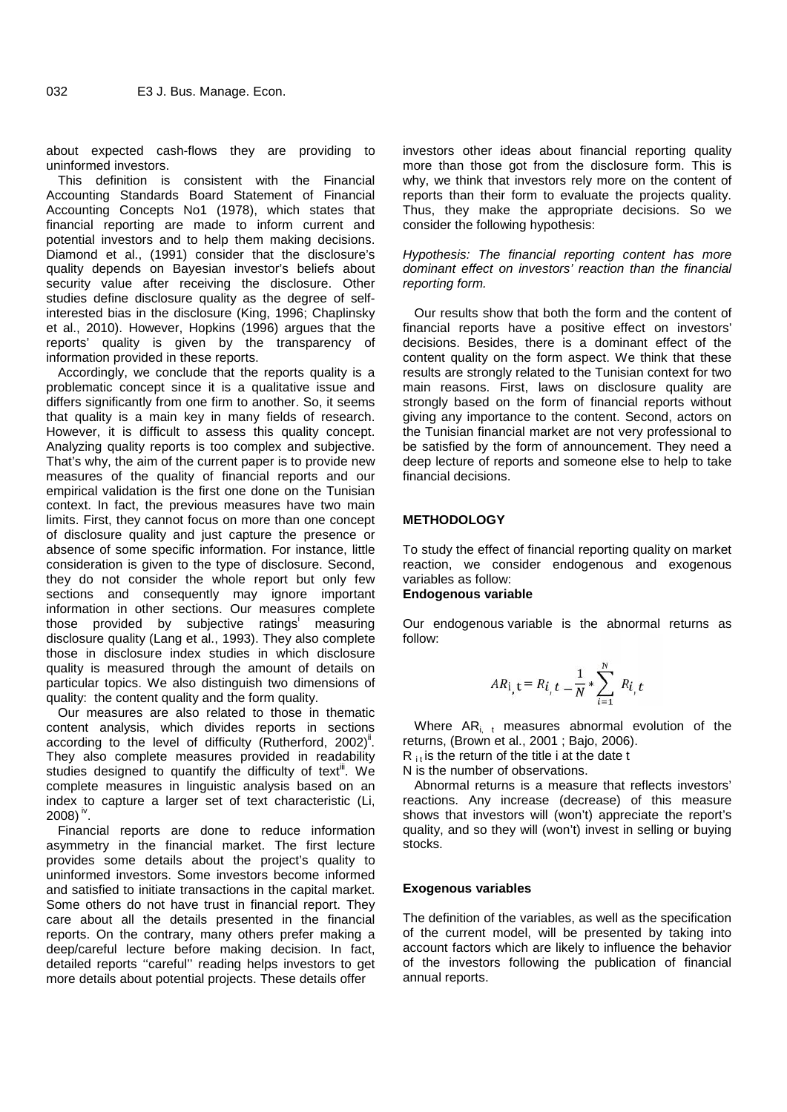about expected cash-flows they are providing to uninformed investors.

This definition is consistent with the Financial Accounting Standards Board Statement of Financial Accounting Concepts No1 (1978), which states that financial reporting are made to inform current and potential investors and to help them making decisions. Diamond et al., (1991) consider that the disclosure's quality depends on Bayesian investor's beliefs about security value after receiving the disclosure. Other studies define disclosure quality as the degree of selfinterested bias in the disclosure (King, 1996; Chaplinsky et al., 2010). However, Hopkins (1996) argues that the reports' quality is given by the transparency of information provided in these reports.

Accordingly, we conclude that the reports quality is a problematic concept since it is a qualitative issue and differs significantly from one firm to another. So, it seems that quality is a main key in many fields of research. However, it is difficult to assess this quality concept. Analyzing quality reports is too complex and subjective. That's why, the aim of the current paper is to provide new measures of the quality of financial reports and our empirical validation is the first one done on the Tunisian context. In fact, the previous measures have two main limits. First, they cannot focus on more than one concept of disclosure quality and just capture the presence or absence of some specific information. For instance, little consideration is given to the type of disclosure. Second, they do not consider the whole report but only few sections and consequently may ignore important information in other sections. Our measures complete those provided by subjective ratings<sup>i</sup> measuring disclosure quality (Lang et al., 1993). They also complete those in disclosure index studies in which disclosure quality is measured through the amount of details on particular topics. We also distinguish two dimensions of quality: the content quality and the form quality.

Our measures are also related to those in thematic content analysis, which divides reports in sections according to the level of difficulty (Rutherford,  $2002$ )<sup>ii</sup>. They also complete measures provided in readability studies designed to quantify the difficulty of text $^{\text{III}}$ . We complete measures in linguistic analysis based on an index to capture a larger set of text characteristic (Li, 2008)  $^{\sf iv}$ .  $^-$ 

Financial reports are done to reduce information asymmetry in the financial market. The first lecture provides some details about the project's quality to uninformed investors. Some investors become informed and satisfied to initiate transactions in the capital market. Some others do not have trust in financial report. They care about all the details presented in the financial reports. On the contrary, many others prefer making a deep/careful lecture before making decision. In fact, detailed reports ''careful'' reading helps investors to get more details about potential projects. These details offer

investors other ideas about financial reporting quality more than those got from the disclosure form. This is why, we think that investors rely more on the content of reports than their form to evaluate the projects quality. Thus, they make the appropriate decisions. So we consider the following hypothesis:

# *Hypothesis: The financial reporting content has more dominant effect on investors' reaction than the financial reporting form.*

Our results show that both the form and the content of financial reports have a positive effect on investors' decisions. Besides, there is a dominant effect of the content quality on the form aspect. We think that these results are strongly related to the Tunisian context for two main reasons. First, laws on disclosure quality are strongly based on the form of financial reports without giving any importance to the content. Second, actors on the Tunisian financial market are not very professional to be satisfied by the form of announcement. They need a deep lecture of reports and someone else to help to take financial decisions.

# **METHODOLOGY**

To study the effect of financial reporting quality on market reaction, we consider endogenous and exogenous variables as follow:

# **Endogenous variable**

Our endogenous variable is the abnormal returns as follow:

$$
AR_{i, t} = R_{i, t} - \frac{1}{N} * \sum_{i=1}^{N} R_{i, t}
$$

Where  $AR_{i, t}$  measures abnormal evolution of the returns, (Brown et al., 2001 ; Bajo, 2006).

 $R_{\text{it}}$  is the return of the title i at the date t

N is the number of observations.

Abnormal returns is a measure that reflects investors' reactions. Any increase (decrease) of this measure shows that investors will (won't) appreciate the report's quality, and so they will (won't) invest in selling or buying stocks.

# **Exogenous variables**

The definition of the variables, as well as the specification of the current model, will be presented by taking into account factors which are likely to influence the behavior of the investors following the publication of financial annual reports.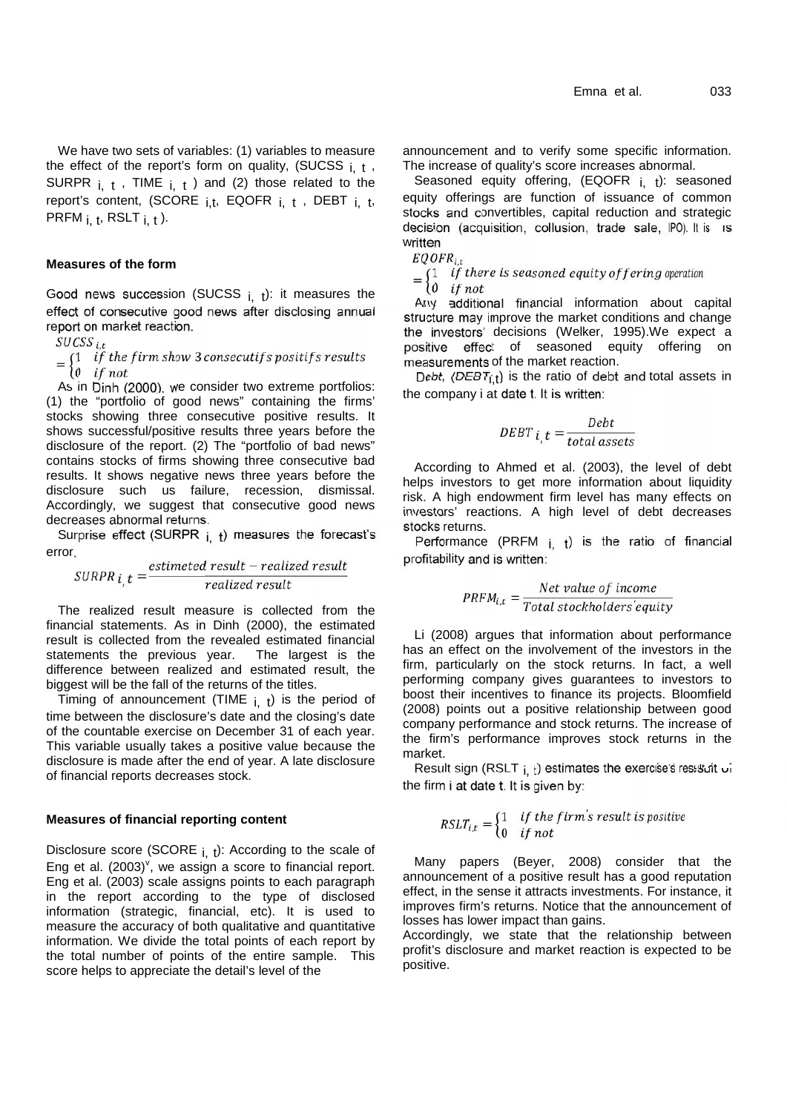We have two sets of variables: (1) variables to measure the effect of the report's form on quality, (SUCSS  $_{i}$ ,  $_{t}$ , SURPR  $i, t$ , TIME  $i, t$  ) and (2) those related to the report's content, (SCORE  $i.t.$ , EQOFR  $i. t$ , DEBT  $i. t$ , PRFM  $_{i}$ , t, RSLT  $_{i}$ , t  $)$ .

# **Measures of the form**

Good news succession (SUCSS  $_{i}$ , t): it measures the  $_{i}$  and  $_{i}$  additional financial information about capital effect of consecutive good news after disclosing annual report on market reaction.

 $\frac{t}{2}$ 

 $=\begin{cases} 1 & \text{if the firm show 3 consecutive} \\ 0 & \text{if not} \end{cases}$  $0$  if not

As in Dinh (2000), we consider two extreme portfolios: (1) the "portfolio of good news" containing the firms' stocks showing three consecutive positive results. It shows successful/positive results three years before the disclosure of the report. (2) The "portfolio of bad news" contains stocks of firms showing three consecutive bad results. It shows negative news three years before the disclosure such us failure, recession, dismissal. Accordingly, we suggest that consecutive good news decreases abnormal returns.

Surprise effect (SURPR  $i$ ,  $t$ ) measures the forecast's error.

 $\epsilon, t = \frac{estimated\ result - realized\ res}{realized\ result}$ 

The realized result measure is collected from the financial statements. As in Dinh (2000), the estimated result is collected from the revealed estimated financial statements the previous year. The largest is the difference between realized and estimated result, the biggest will be the fall of the returns of the titles.

Timing of announcement (TIME  $i$ ,  $t$ ) is the period of time between the disclosure's date and the closing's date of the countable exercise on December 31 of each year. This variable usually takes a positive value because the disclosure is made after the end of year. A late disclosure of financial reports decreases stock.

#### **Measures of financial reporting content**

Disclosure score (SCORE  $_{i, t}$ ): According to the scale of Eng et al. (2003)<sup> $v$ </sup>, we assign a score to financial report. Eng et al. (2003) scale assigns points to each paragraph in the report according to the type of disclosed information (strategic, financial, etc). It is used to measure the accuracy of both qualitative and quantitative information. We divide the total points of each report by the total number of points of the entire sample. This score helps to appreciate the detail's level of the

announcement and to verify some specific information. The increase of quality's score increases abnormal.

Seasoned equity offering,  $(EQOFF_{i} +)$ : seasoned equity offerings are function of issuance of common stocks and convertibles, capital reduction and strategic decision (acquisition, collusion, trade sale, IPO). It is written

 $, t$  $=\begin{cases} 1 & if there is sea \\ 0 & if not \end{cases}$  $\int_0^{\infty}$  if not

Any additional financial information about capital structure may improve the market conditions and change the investors' decisions (Welker, 1995).We expect a positive effect of seasoned equity offering on measurements of the market reaction.

Debt,  $(DEBT_{i,t})$  is the ratio of debt and total assets in the company i at date t. It is written:

$$
DEBT_{i,t} = \frac{Debt}{total\, assets}
$$

According to Ahmed et al. (2003), the level of debt helps investors to get more information about liquidity risk. A high endowment firm level has many effects on investors' reactions. A high level of debt decreases stocks returns.

Performance (PRFM  $i$ ,  $t$ ) is the ratio of financial profitability and is written:

$$
PRFM_{i,t} = \frac{Net\ value\ of\ income}{Total\ stockholders\ equity}
$$

Li (2008) argues that information about performance has an effect on the involvement of the investors in the firm, particularly on the stock returns. In fact, a well performing company gives guarantees to investors to boost their incentives to finance its projects. Bloomfield (2008) points out a positive relationship between good company performance and stock returns. The increase of the firm's performance improves stock returns in the market.

Result sign (RSLT  $_{i, t}$ ) estimates the exercise's resistant of the firm i at date t. It is given by:

$$
RSLT_{i,t} = \begin{cases} 1 & \text{if the firm's result is positive} \\ 0 & \text{if not} \end{cases}
$$

Many papers (Beyer, 2008) consider that the announcement of a positive result has a good reputation effect, in the sense it attracts investments. For instance, it improves firm's returns. Notice that the announcement of losses has lower impact than gains.

Accordingly, we state that the relationship between profit's disclosure and market reaction is expected to be positive.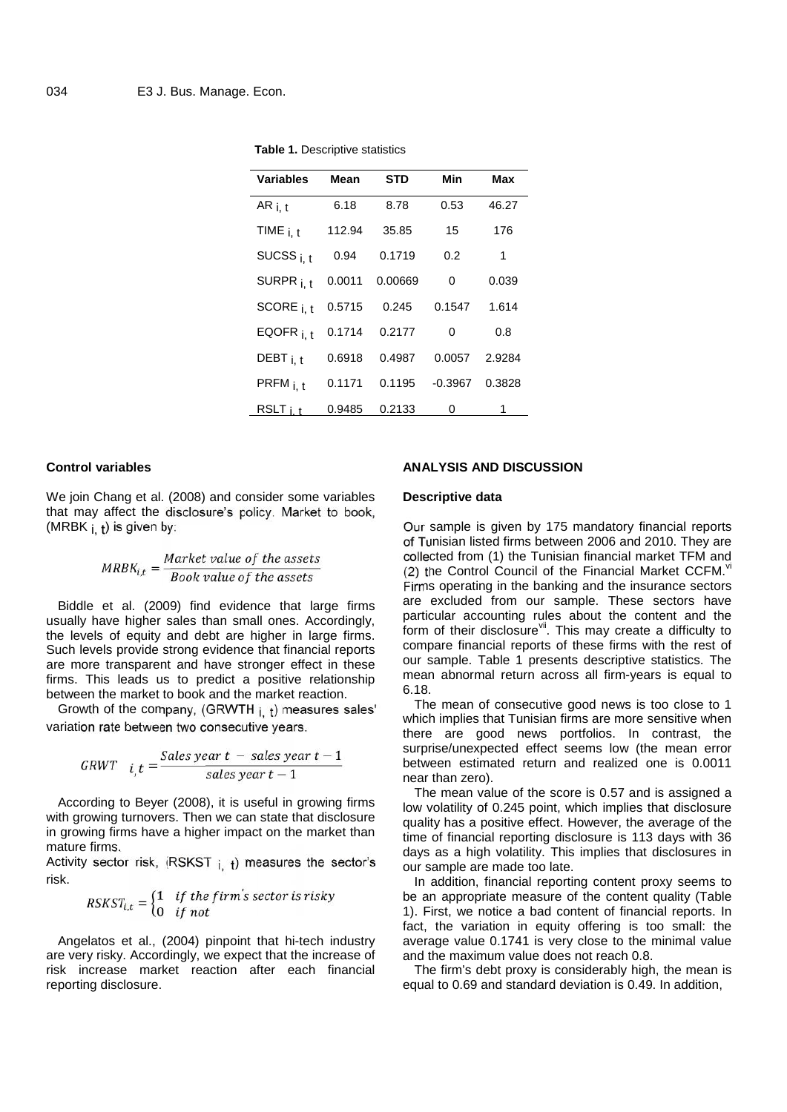| <b>Variables</b>     | Mean   | STD.    | Min                   | Max   |  |
|----------------------|--------|---------|-----------------------|-------|--|
| AR $_{i. t}$         | 6.18   | 8.78    | 0.53                  | 46.27 |  |
| TIME $_{i. t}$       | 112.94 | 35.85   | 15                    | 176   |  |
| SUCSS $i, t$         | 0.94   | 0.1719  | 0.2                   | 1     |  |
| SURPR <sub>i.t</sub> | 0.0011 | 0.00669 | 0                     | 0.039 |  |
| SCORE $i, t$         | 0.5715 |         | 0.245  0.1547  1.614  |       |  |
| EQOFR $_{i. t}$      | 0.1714 | 0.2177  | $\Omega$              | 0.8   |  |
| DEBT $_{i. t}$       | 0.6918 | 0.4987  | 0.0057 2.9284         |       |  |
| $PRFM_{i. t}$        | 0.1171 |         | 0.1195 -0.3967 0.3828 |       |  |
| RSLT i +             | 0.9485 | 0.2133  | 0                     | 1     |  |

**Table 1.** Descriptive statistics

#### **Control variables**

We join Chang et al. (2008) and consider some variables that may affect the disclosure's policy. Market to book, (MRBK  $i, t$ ) is given by:

$$
MRBK_{i,t} = \frac{Market\ value\ of\ the\ assets}{Book\ value\ of\ the\ assets}
$$

Biddle et al. (2009) find evidence that large firms usually have higher sales than small ones. Accordingly, the levels of equity and debt are higher in large firms. Such levels provide strong evidence that financial reports are more transparent and have stronger effect in these firms. This leads us to predict a positive relationship between the market to book and the market reaction.

Growth of the company, (GRWTH  $_{i}$ ,  $_{t}$ ) measures sales' variation rate between two consecutive years.

$$
GRWT \quad i_{,t} = \frac{Sales \, year \, t - sales \, year \, t - 1}{sales \, year \, t - 1}
$$

According to Beyer (2008), it is useful in growing firms with growing turnovers. Then we can state that disclosure in growing firms have a higher impact on the market than mature firms.

Activity sector risk,  $(RSKST_{i} +)$  measures the sector's risk.

$$
RSKST_{i,t} = \begin{cases} 1 & \text{if the firm's sector is risky} \\ 0 & \text{if not} \end{cases}
$$

Angelatos et al., (2004) pinpoint that hi-tech industry are very risky. Accordingly, we expect that the increase of risk increase market reaction after each financial reporting disclosure.

# **ANALYSIS AND DISCUSSION**

# **Descriptive data**

Our sample is given by 175 mandatory financial reports of Tunisian listed firms between 2006 and 2010. They are collected from (1) the Tunisian financial market TFM and (2) the Control Council of the Financial Market CCFM. $vi$ Firms operating in the banking and the insurance sectors are excluded from our sample. These sectors have particular accounting rules about the content and the form of their disclosure<sup>vii</sup>. This may create a difficulty to compare financial reports of these firms with the rest of our sample. Table 1 presents descriptive statistics. The mean abnormal return across all firm-years is equal to 6.18.

The mean of consecutive good news is too close to 1 which implies that Tunisian firms are more sensitive when there are good news portfolios. In contrast, the surprise/unexpected effect seems low (the mean error between estimated return and realized one is 0.0011 near than zero).

The mean value of the score is 0.57 and is assigned a low volatility of 0.245 point, which implies that disclosure quality has a positive effect. However, the average of the time of financial reporting disclosure is 113 days with 36 days as a high volatility. This implies that disclosures in our sample are made too late.

In addition, financial reporting content proxy seems to be an appropriate measure of the content quality (Table 1). First, we notice a bad content of financial reports. In fact, the variation in equity offering is too small: the average value 0.1741 is very close to the minimal value and the maximum value does not reach 0.8.

The firm's debt proxy is considerably high, the mean is equal to 0.69 and standard deviation is 0.49. In addition,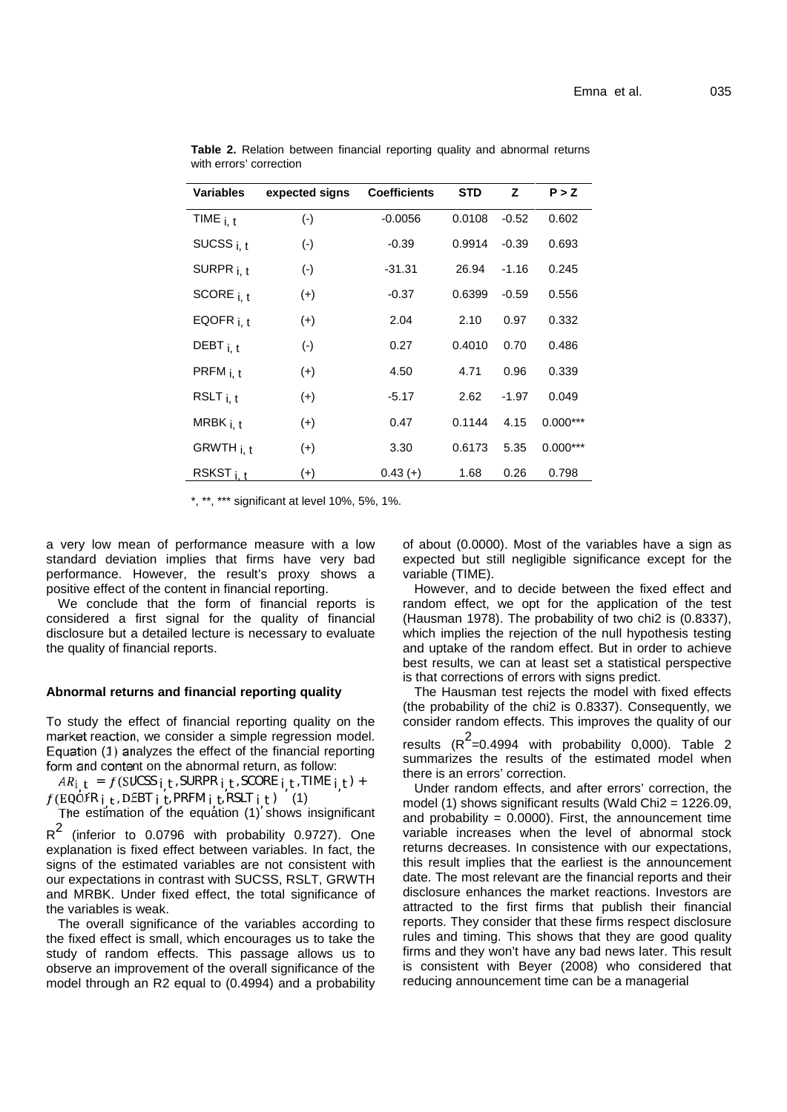| Variables       | expected signs | <b>Coefficients</b> | <b>STD</b> | z       | P > Z      |
|-----------------|----------------|---------------------|------------|---------|------------|
| TIME $_{i. t}$  | $(\cdot)$      | $-0.0056$           | 0.0108     | $-0.52$ | 0.602      |
| SUCSS $i, t$    | $(-)$          | $-0.39$             | 0.9914     | $-0.39$ | 0.693      |
| SURPR $i, t$    | $(\cdot)$      | $-31.31$            | 26.94      | $-1.16$ | 0.245      |
| SCORE $_{i. t}$ | $(+)$          | $-0.37$             | 0.6399     | $-0.59$ | 0.556      |
| EQOFR $_{i, t}$ | $(+)$          | 2.04                | 2.10       | 0.97    | 0.332      |
| DEBT $_{i. t}$  | $(\cdot)$      | 0.27                | 0.4010     | 0.70    | 0.486      |
| PRFM $_{i, t}$  | $(+)$          | 4.50                | 4.71       | 0.96    | 0.339      |
| RSLT $_{i. t}$  | $(+)$          | -5.17               | 2.62       | $-1.97$ | 0.049      |
| MRBK $_{i. t}$  | $(+)$          | 0.47                | 0.1144     | 4.15    | $0.000***$ |
| GRWTH i.t       | $(+)$          | 3.30                | 0.6173     | 5.35    | $0.000***$ |
| RSKST $i, t$    | $(+)$          | $0.43 (+)$          | 1.68       | 0.26    | 0.798      |

**Table 2.** Relation between financial reporting quality and abnormal returns with errors' correction

\*, \*\*, \*\*\* significant at level 10%, 5%, 1%.

a very low mean of performance measure with a low standard deviation implies that firms have very bad performance. However, the result's proxy shows a positive effect of the content in financial reporting.

We conclude that the form of financial reports is considered a first signal for the quality of financial disclosure but a detailed lecture is necessary to evaluate the quality of financial reports.

### **Abnormal returns and financial reporting quality**

To study the effect of financial reporting quality on the market reaction, we consider a simple regression model. Equation (1) analyzes the effect of the financial reporting form and content on the abnormal return, as follow:

 $i_t = f(SUCSS i_t, SURPR i_t, SCOREi_t, IIME i_t) +$  Und  $(EOOFR_i, DEBT_i, PRFM_i, RSLT_i)$  (1)<br>The estimation of the equation  $(1)'$  shows insign

The estimation of the equation (1) shows insignificant

 $R^2$  (inferior to 0.0796 with probability 0.9727). One varia explanation is fixed effect between variables. In fact, the signs of the estimated variables are not consistent with our expectations in contrast with SUCSS, RSLT, GRWTH and MRBK. Under fixed effect, the total significance of the variables is weak.

The overall significance of the variables according to the fixed effect is small, which encourages us to take the study of random effects. This passage allows us to observe an improvement of the overall significance of the model through an R2 equal to (0.4994) and a probability of about (0.0000). Most of the variables have a sign as expected but still negligible significance except for the variable (TIME).

However, and to decide between the fixed effect and random effect, we opt for the application of the test (Hausman 1978). The probability of two chi2 is (0.8337), which implies the rejection of the null hypothesis testing and uptake of the random effect. But in order to achieve best results, we can at least set a statistical perspective is that corrections of errors with signs predict.

The Hausman test rejects the model with fixed effects (the probability of the chi2 is 0.8337). Consequently, we consider random effects. This improves the quality of our results (R<sup>2</sup>=0.4994 with probability 0,000). Table 2 summarizes the results of the estimated model when there is an errors' correction.

Under random effects, and after errors' correction, the model (1) shows significant results (Wald Chi $2 = 1226.09$ , and probability =  $0.0000$ ). First, the announcement time variable increases when the level of abnormal stock returns decreases. In consistence with our expectations, this result implies that the earliest is the announcement date. The most relevant are the financial reports and their disclosure enhances the market reactions. Investors are attracted to the first firms that publish their financial reports. They consider that these firms respect disclosure rules and timing. This shows that they are good quality firms and they won't have any bad news later. This result is consistent with Beyer (2008) who considered that reducing announcement time can be a managerial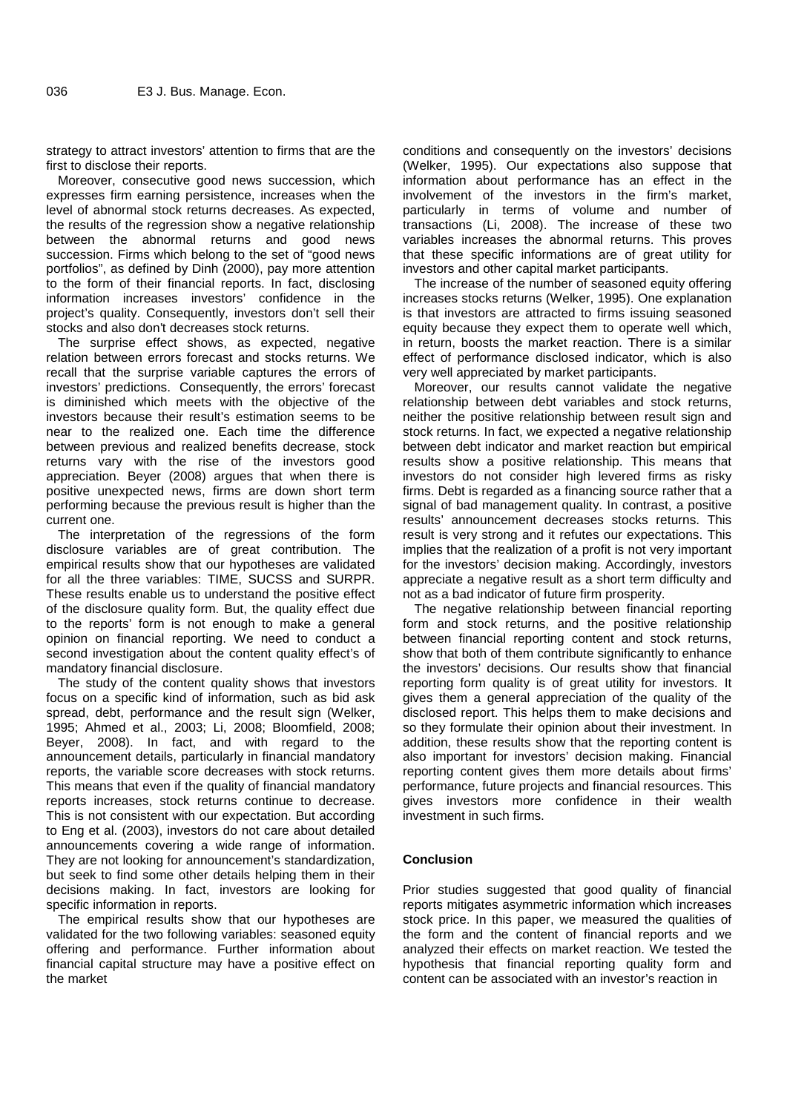strategy to attract investors' attention to firms that are the first to disclose their reports.

Moreover, consecutive good news succession, which expresses firm earning persistence, increases when the level of abnormal stock returns decreases. As expected, the results of the regression show a negative relationship between the abnormal returns and good news succession. Firms which belong to the set of "good news portfolios", as defined by Dinh (2000), pay more attention to the form of their financial reports. In fact, disclosing information increases investors' confidence in the project's quality. Consequently, investors don't sell their stocks and also don't decreases stock returns.

The surprise effect shows, as expected, negative relation between errors forecast and stocks returns. We recall that the surprise variable captures the errors of investors' predictions. Consequently, the errors' forecast is diminished which meets with the objective of the investors because their result's estimation seems to be near to the realized one. Each time the difference between previous and realized benefits decrease, stock returns vary with the rise of the investors good appreciation. Beyer (2008) argues that when there is positive unexpected news, firms are down short term performing because the previous result is higher than the current one.

The interpretation of the regressions of the form disclosure variables are of great contribution. The empirical results show that our hypotheses are validated for all the three variables: TIME, SUCSS and SURPR. These results enable us to understand the positive effect of the disclosure quality form. But, the quality effect due to the reports' form is not enough to make a general opinion on financial reporting. We need to conduct a second investigation about the content quality effect's of mandatory financial disclosure.

The study of the content quality shows that investors focus on a specific kind of information, such as bid ask spread, debt, performance and the result sign (Welker, 1995; Ahmed et al., 2003; Li, 2008; Bloomfield, 2008; Beyer, 2008). In fact, and with regard to the announcement details, particularly in financial mandatory reports, the variable score decreases with stock returns. This means that even if the quality of financial mandatory reports increases, stock returns continue to decrease. This is not consistent with our expectation. But according to Eng et al. (2003), investors do not care about detailed announcements covering a wide range of information. They are not looking for announcement's standardization, but seek to find some other details helping them in their decisions making. In fact, investors are looking for specific information in reports.

The empirical results show that our hypotheses are validated for the two following variables: seasoned equity offering and performance. Further information about financial capital structure may have a positive effect on the market

conditions and consequently on the investors' decisions (Welker, 1995). Our expectations also suppose that information about performance has an effect in the involvement of the investors in the firm's market, particularly in terms of volume and number of transactions (Li, 2008). The increase of these two variables increases the abnormal returns. This proves that these specific informations are of great utility for investors and other capital market participants.

The increase of the number of seasoned equity offering increases stocks returns (Welker, 1995). One explanation is that investors are attracted to firms issuing seasoned equity because they expect them to operate well which, in return, boosts the market reaction. There is a similar effect of performance disclosed indicator, which is also very well appreciated by market participants.

Moreover, our results cannot validate the negative relationship between debt variables and stock returns, neither the positive relationship between result sign and stock returns. In fact, we expected a negative relationship between debt indicator and market reaction but empirical results show a positive relationship. This means that investors do not consider high levered firms as risky firms. Debt is regarded as a financing source rather that a signal of bad management quality. In contrast, a positive results' announcement decreases stocks returns. This result is very strong and it refutes our expectations. This implies that the realization of a profit is not very important for the investors' decision making. Accordingly, investors appreciate a negative result as a short term difficulty and not as a bad indicator of future firm prosperity.

The negative relationship between financial reporting form and stock returns, and the positive relationship between financial reporting content and stock returns, show that both of them contribute significantly to enhance the investors' decisions. Our results show that financial reporting form quality is of great utility for investors. It gives them a general appreciation of the quality of the disclosed report. This helps them to make decisions and so they formulate their opinion about their investment. In addition, these results show that the reporting content is also important for investors' decision making. Financial reporting content gives them more details about firms' performance, future projects and financial resources. This gives investors more confidence in their wealth investment in such firms.

# **Conclusion**

Prior studies suggested that good quality of financial reports mitigates asymmetric information which increases stock price. In this paper, we measured the qualities of the form and the content of financial reports and we analyzed their effects on market reaction. We tested the hypothesis that financial reporting quality form and content can be associated with an investor's reaction in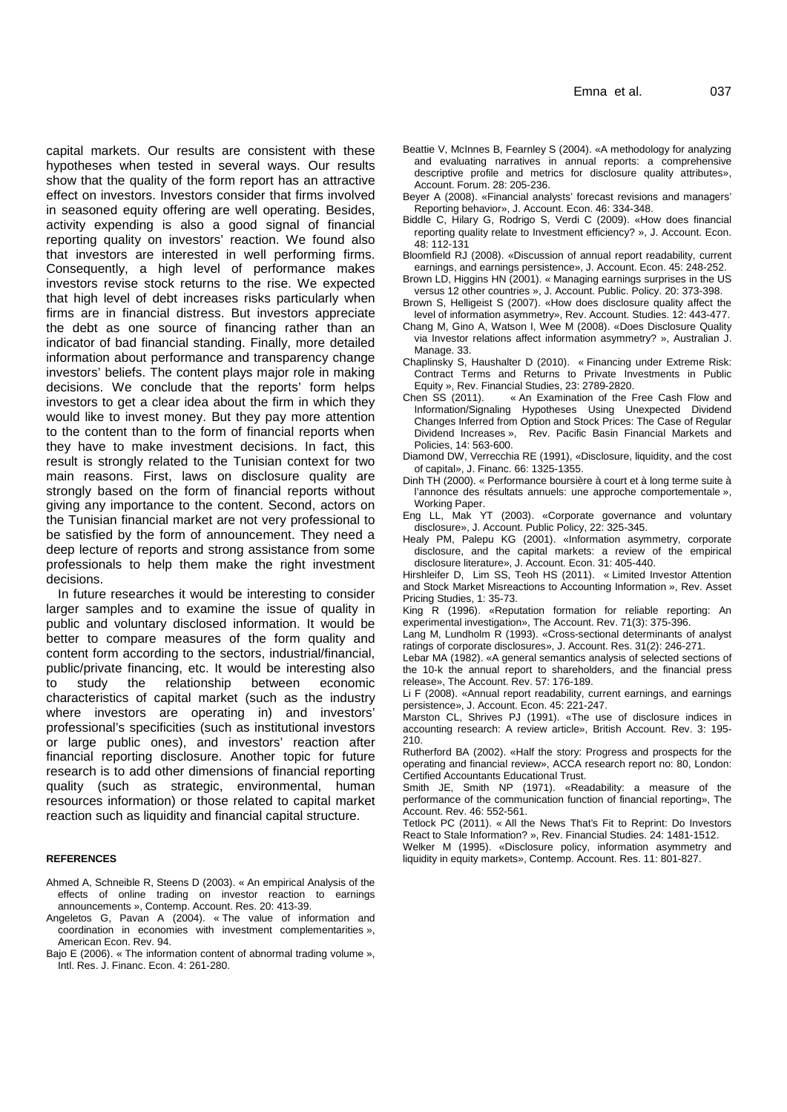capital markets. Our results are consistent with these hypotheses when tested in several ways. Our results show that the quality of the form report has an attractive effect on investors. Investors consider that firms involved in seasoned equity offering are well operating. Besides, activity expending is also a good signal of financial reporting quality on investors' reaction. We found also that investors are interested in well performing firms. Consequently, a high level of performance makes investors revise stock returns to the rise. We expected that high level of debt increases risks particularly when firms are in financial distress. But investors appreciate the debt as one source of financing rather than an indicator of bad financial standing. Finally, more detailed information about performance and transparency change investors' beliefs. The content plays major role in making decisions. We conclude that the reports' form helps Equity », Rev. Figure 1. The conclude that the firm in which they Chen SS (2011). investors to get a clear idea about the firm in which they would like to invest money. But they pay more attention to the content than to the form of financial reports when they have to make investment decisions. In fact, this result is strongly related to the Tunisian context for two main reasons. First, laws on disclosure quality are strongly based on the form of financial reports without giving any importance to the content. Second, actors on the Tunisian financial market are not very professional to be satisfied by the form of announcement. They need a deep lecture of reports and strong assistance from some professionals to help them make the right investment decisions.

In future researches it would be interesting to consider larger samples and to examine the issue of quality in public and voluntary disclosed information. It would be better to compare measures of the form quality and content form according to the sectors, industrial/financial, public/private financing, etc. It would be interesting also to study the relationship between economic characteristics of capital market (such as the industry where investors are operating in) and investors' professional's specificities (such as institutional investors or large public ones), and investors' reaction after financial reporting disclosure. Another topic for future research is to add other dimensions of financial reporting quality (such as strategic, environmental, human resources information) or those related to capital market reaction such as liquidity and financial capital structure.

#### **REFERENCES**

- Ahmed A, Schneible R, Steens D (2003). « An empirical Analysis of the effects of online trading on investor reaction to earnings announcements », Contemp. Account. Res. 20: 413-39.
- Angeletos G, Pavan A (2004). « The value of information and coordination in economies with investment complementarities », American Econ. Rev. 94.
- Baio E (2006). « The information content of abnormal trading volume », Intl. Res. J. Financ. Econ. 4: 261-280.
- Beattie V, McInnes B, Fearnley S (2004). «A methodology for analyzing and evaluating narratives in annual reports: a comprehensive descriptive profile and metrics for disclosure quality attributes», Account. Forum. 28: 205-236.
- Beyer A (2008). «Financial analysts' forecast revisions and managers' Reporting behavior», J. Account. Econ. 46: 334-348.
- Biddle C, Hilary G, Rodrigo S, Verdi C (2009). «How does financial reporting quality relate to Investment efficiency? », J. Account. Econ. 48: 112-131
- Bloomfield RJ (2008). «Discussion of annual report readability, current earnings, and earnings persistence», J. Account. Econ. 45: 248-252.
- Brown LD, Higgins HN (2001). « Managing earnings surprises in the US versus 12 other countries », J. Account. Public. Policy. 20: 373-398.
- Brown S, Helligeist S (2007). «How does disclosure quality affect the level of information asymmetry», Rev. Account. Studies. 12: 443-477.
- Chang M, Gino A, Watson I, Wee M (2008). «Does Disclosure Quality via Investor relations affect information asymmetry? », Australian J. Manage. 33.
- Chaplinsky S, Haushalter D (2010). « Financing under Extreme Risk: Contract Terms and Returns to Private Investments in Public Equity », Rev. Financial Studies, 23: 2789-2820.
- « An Examination of the Free Cash Flow and Information/Signaling Hypotheses Using Unexpected Dividend Changes Inferred from Option and Stock Prices: The Case of Regular Dividend Increases », Rev. Pacific Basin Financial Markets and Policies, 14: 563-600.
- Diamond DW, Verrecchia RE (1991), «Disclosure, liquidity, and the cost of capital», J. Financ. 66: 1325-1355.
- Dinh TH (2000). « Performance boursière à court et à long terme suite à l'annonce des résultats annuels: une approche comportementale », Working Paper.
- Eng LL, Mak YT (2003). «Corporate governance and voluntary disclosure», J. Account. Public Policy, 22: 325-345.
- Healy PM, Palepu KG (2001). «Information asymmetry, corporate disclosure, and the capital markets: a review of the empirical disclosure literature», J. Account. Econ. 31: 405-440.

Hirshleifer D, Lim SS, Teoh HS (2011). « Limited Investor Attention and Stock Market Misreactions to Accounting Information », Rev. Asset Pricing Studies, 1: 35-73.

King R (1996). «Reputation formation for reliable reporting: An experimental investigation», The Account. Rev. 71(3): 375-396.

Lang M, Lundholm R (1993). «Cross-sectional determinants of analyst ratings of corporate disclosures», J. Account. Res. 31(2): 246-271.

Lebar MA (1982). «A general semantics analysis of selected sections of the 10-k the annual report to shareholders, and the financial press release», The Account. Rev. 57: 176-189.

Li F (2008). «Annual report readability, current earnings, and earnings persistence», J. Account. Econ. 45: 221-247.

Marston CL, Shrives PJ (1991). «The use of disclosure indices in accounting research: A review article», British Account. Rev. 3: 195- 210.

Rutherford BA (2002). «Half the story: Progress and prospects for the operating and financial review», ACCA research report no: 80, London: Certified Accountants Educational Trust.

Smith JE, Smith NP (1971). «Readability: a measure of the performance of the communication function of financial reporting», The Account. Rev. 46: 552-561.

Tetlock PC (2011). « All the News That's Fit to Reprint: Do Investors React to Stale Information? », Rev. Financial Studies. 24: 1481-1512.

Welker M (1995). «Disclosure policy, information asymmetry and liquidity in equity markets», Contemp. Account. Res. 11: 801-827.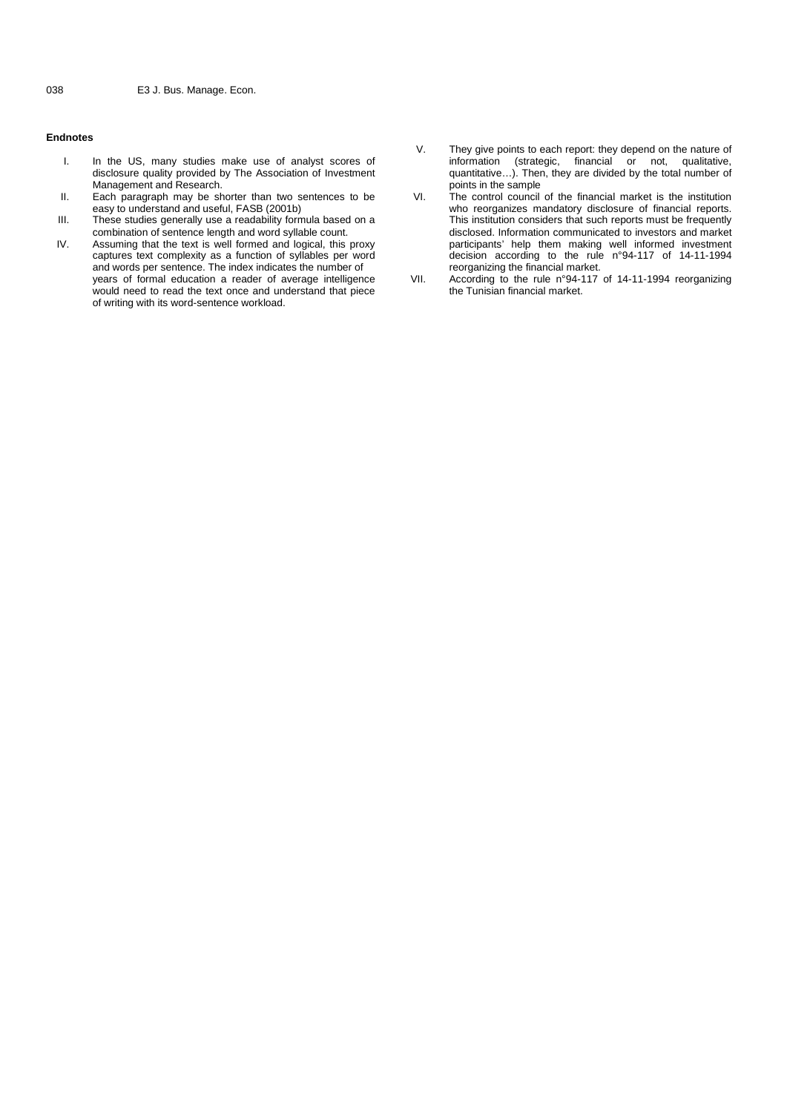# **Endnotes**

- I. In the US, many studies make use of analyst scores of disclosure quality provided by The Association of Investment Management and Research.
- II. Each paragraph may be shorter than two sentences to be VI. easy to understand and useful, FASB (2001b)
- III. These studies generally use a readability formula based on a combination of sentence length and word syllable count.
- IV. Assuming that the text is well formed and logical, this proxy captures text complexity as a function of syllables per word and words per sentence. The index indicates the number of years of formal education a reader of average intelligence would need to read the text once and understand that piece of writing with its word-sentence workload.
- V. They give points to each report: they depend on the nature of information (strategic, financial or not, qualitative, quantitative…). Then, they are divided by the total number of points in the sample
- The control council of the financial market is the institution who reorganizes mandatory disclosure of financial reports. This institution considers that such reports must be frequently disclosed. Information communicated to investors and market participants' help them making well informed investment decision according to the rule n°94-117 of 14-11-1994 reorganizing the financial market.
	- According to the rule n°94-117 of 14-11-1994 reorganizing the Tunisian financial market.